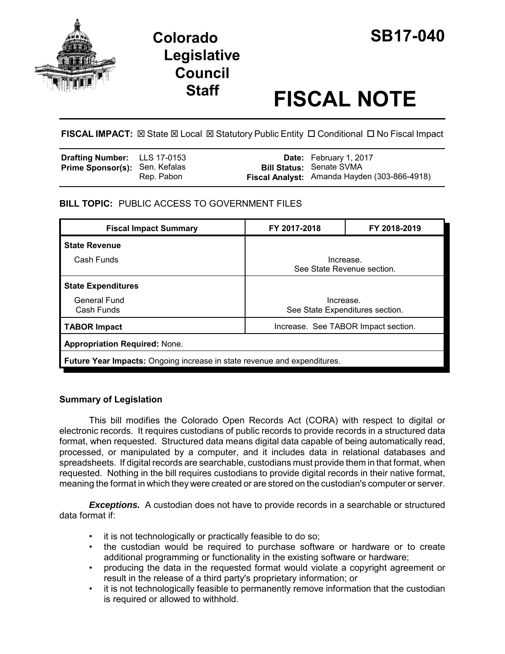

# **Legislative Council**

## **Staff FISCAL NOTE**

FISCAL IMPACT:  $\boxtimes$  State  $\boxtimes$  Local  $\boxtimes$  Statutory Public Entity  $\Box$  Conditional  $\Box$  No Fiscal Impact

| <b>Drafting Number:</b> LLS 17-0153   |            | <b>Date:</b> February 1, 2017                                                   |
|---------------------------------------|------------|---------------------------------------------------------------------------------|
| <b>Prime Sponsor(s): Sen. Kefalas</b> | Rep. Pabon | <b>Bill Status: Senate SVMA</b><br>Fiscal Analyst: Amanda Hayden (303-866-4918) |
|                                       |            |                                                                                 |

#### **BILL TOPIC:** PUBLIC ACCESS TO GOVERNMENT FILES

| <b>Fiscal Impact Summary</b>                                                    | FY 2017-2018                                 | FY 2018-2019 |  |  |
|---------------------------------------------------------------------------------|----------------------------------------------|--------------|--|--|
| <b>State Revenue</b>                                                            |                                              |              |  |  |
| Cash Funds                                                                      | Increase.<br>See State Revenue section.      |              |  |  |
| <b>State Expenditures</b>                                                       |                                              |              |  |  |
| <b>General Fund</b><br>Cash Funds                                               | Increase.<br>See State Expenditures section. |              |  |  |
| <b>TABOR Impact</b>                                                             | Increase. See TABOR Impact section.          |              |  |  |
| <b>Appropriation Required: None.</b>                                            |                                              |              |  |  |
| <b>Future Year Impacts:</b> Ongoing increase in state revenue and expenditures. |                                              |              |  |  |

#### **Summary of Legislation**

This bill modifies the Colorado Open Records Act (CORA) with respect to digital or electronic records. It requires custodians of public records to provide records in a structured data format, when requested. Structured data means digital data capable of being automatically read, processed, or manipulated by a computer, and it includes data in relational databases and spreadsheets. If digital records are searchable, custodians must provide them in that format, when requested. Nothing in the bill requires custodians to provide digital records in their native format, meaning the format in which they were created or are stored on the custodian's computer or server.

**Exceptions.** A custodian does not have to provide records in a searchable or structured data format if:

- it is not technologically or practically feasible to do so;
- the custodian would be required to purchase software or hardware or to create additional programming or functionality in the existing software or hardware;
- producing the data in the requested format would violate a copyright agreement or result in the release of a third party's proprietary information; or
- it is not technologically feasible to permanently remove information that the custodian is required or allowed to withhold.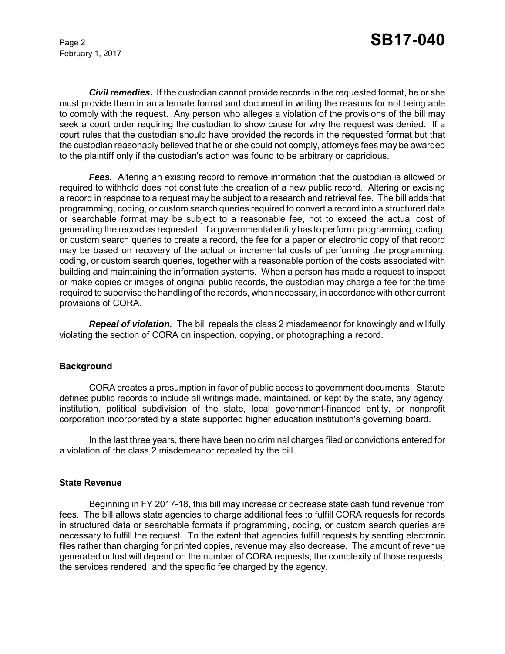February 1, 2017

*Civil remedies.* If the custodian cannot provide records in the requested format, he or she must provide them in an alternate format and document in writing the reasons for not being able to comply with the request. Any person who alleges a violation of the provisions of the bill may seek a court order requiring the custodian to show cause for why the request was denied. If a court rules that the custodian should have provided the records in the requested format but that the custodian reasonably believed that he or she could not comply, attorneys fees may be awarded to the plaintiff only if the custodian's action was found to be arbitrary or capricious.

**Fees.** Altering an existing record to remove information that the custodian is allowed or required to withhold does not constitute the creation of a new public record. Altering or excising a record in response to a request may be subject to a research and retrieval fee. The bill adds that programming, coding, or custom search queries required to convert a record into a structured data or searchable format may be subject to a reasonable fee, not to exceed the actual cost of generating the record as requested. If a governmental entity has to perform programming, coding, or custom search queries to create a record, the fee for a paper or electronic copy of that record may be based on recovery of the actual or incremental costs of performing the programming, coding, or custom search queries, together with a reasonable portion of the costs associated with building and maintaining the information systems. When a person has made a request to inspect or make copies or images of original public records, the custodian may charge a fee for the time required to supervise the handling of the records, when necessary, in accordance with other current provisions of CORA.

*Repeal of violation.* The bill repeals the class 2 misdemeanor for knowingly and willfully violating the section of CORA on inspection, copying, or photographing a record.

#### **Background**

CORA creates a presumption in favor of public access to government documents. Statute defines public records to include all writings made, maintained, or kept by the state, any agency, institution, political subdivision of the state, local government-financed entity, or nonprofit corporation incorporated by a state supported higher education institution's governing board.

In the last three years, there have been no criminal charges filed or convictions entered for a violation of the class 2 misdemeanor repealed by the bill.

#### **State Revenue**

Beginning in FY 2017-18, this bill may increase or decrease state cash fund revenue from fees. The bill allows state agencies to charge additional fees to fulfill CORA requests for records in structured data or searchable formats if programming, coding, or custom search queries are necessary to fulfill the request. To the extent that agencies fulfill requests by sending electronic files rather than charging for printed copies, revenue may also decrease. The amount of revenue generated or lost will depend on the number of CORA requests, the complexity of those requests, the services rendered, and the specific fee charged by the agency.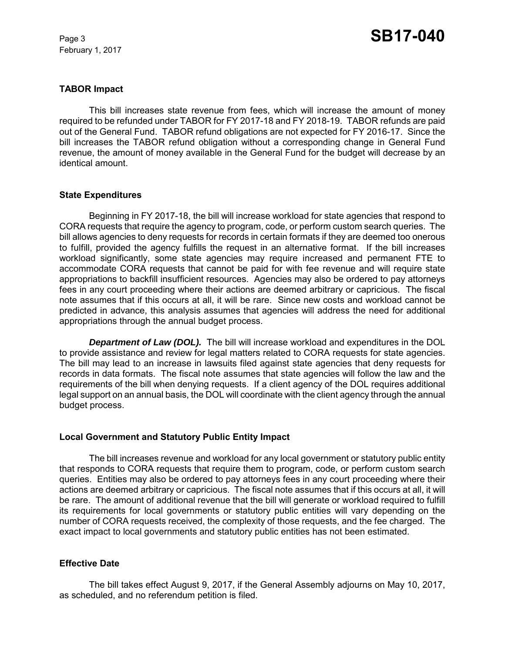February 1, 2017

#### **TABOR Impact**

This bill increases state revenue from fees, which will increase the amount of money required to be refunded under TABOR for FY 2017-18 and FY 2018-19. TABOR refunds are paid out of the General Fund. TABOR refund obligations are not expected for FY 2016-17. Since the bill increases the TABOR refund obligation without a corresponding change in General Fund revenue, the amount of money available in the General Fund for the budget will decrease by an identical amount.

#### **State Expenditures**

Beginning in FY 2017-18, the bill will increase workload for state agencies that respond to CORA requests that require the agency to program, code, or perform custom search queries. The bill allows agencies to deny requests for records in certain formats if they are deemed too onerous to fulfill, provided the agency fulfills the request in an alternative format. If the bill increases workload significantly, some state agencies may require increased and permanent FTE to accommodate CORA requests that cannot be paid for with fee revenue and will require state appropriations to backfill insufficient resources. Agencies may also be ordered to pay attorneys fees in any court proceeding where their actions are deemed arbitrary or capricious. The fiscal note assumes that if this occurs at all, it will be rare. Since new costs and workload cannot be predicted in advance, this analysis assumes that agencies will address the need for additional appropriations through the annual budget process.

*Department of Law (DOL).* The bill will increase workload and expenditures in the DOL to provide assistance and review for legal matters related to CORA requests for state agencies. The bill may lead to an increase in lawsuits filed against state agencies that deny requests for records in data formats. The fiscal note assumes that state agencies will follow the law and the requirements of the bill when denying requests. If a client agency of the DOL requires additional legal support on an annual basis, the DOL will coordinate with the client agency through the annual budget process.

#### **Local Government and Statutory Public Entity Impact**

The bill increases revenue and workload for any local government or statutory public entity that responds to CORA requests that require them to program, code, or perform custom search queries. Entities may also be ordered to pay attorneys fees in any court proceeding where their actions are deemed arbitrary or capricious. The fiscal note assumes that if this occurs at all, it will be rare. The amount of additional revenue that the bill will generate or workload required to fulfill its requirements for local governments or statutory public entities will vary depending on the number of CORA requests received, the complexity of those requests, and the fee charged. The exact impact to local governments and statutory public entities has not been estimated.

#### **Effective Date**

The bill takes effect August 9, 2017, if the General Assembly adjourns on May 10, 2017, as scheduled, and no referendum petition is filed.